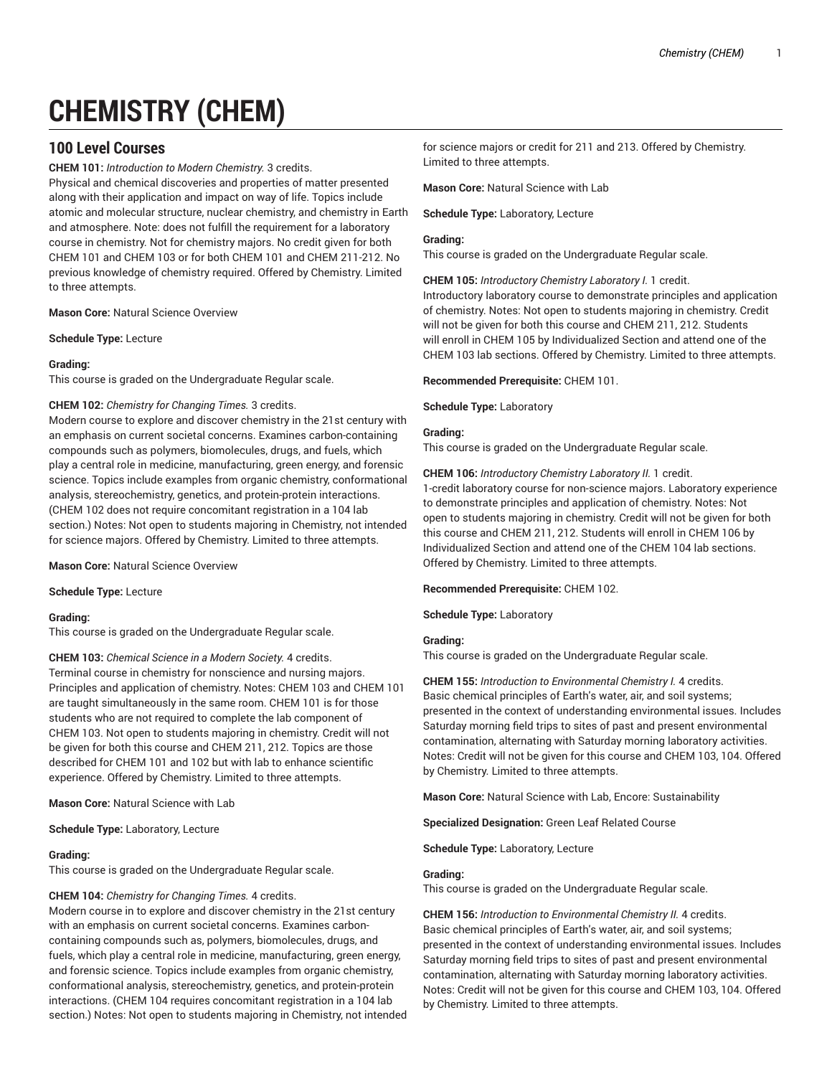# **CHEMISTRY (CHEM)**

# **100 Level Courses**

**CHEM 101:** *Introduction to Modern Chemistry.* 3 credits.

Physical and chemical discoveries and properties of matter presented along with their application and impact on way of life. Topics include atomic and molecular structure, nuclear chemistry, and chemistry in Earth and atmosphere. Note: does not fulfill the requirement for a laboratory course in chemistry. Not for chemistry majors. No credit given for both CHEM 101 and CHEM 103 or for both CHEM 101 and CHEM 211-212. No previous knowledge of chemistry required. Offered by Chemistry. Limited to three attempts.

**Mason Core:** Natural Science Overview

**Schedule Type:** Lecture

#### **Grading:**

This course is graded on the Undergraduate Regular scale.

#### **CHEM 102:** *Chemistry for Changing Times.* 3 credits.

Modern course to explore and discover chemistry in the 21st century with an emphasis on current societal concerns. Examines carbon-containing compounds such as polymers, biomolecules, drugs, and fuels, which play a central role in medicine, manufacturing, green energy, and forensic science. Topics include examples from organic chemistry, conformational analysis, stereochemistry, genetics, and protein-protein interactions. (CHEM 102 does not require concomitant registration in a 104 lab section.) Notes: Not open to students majoring in Chemistry, not intended for science majors. Offered by Chemistry. Limited to three attempts.

**Mason Core:** Natural Science Overview

**Schedule Type:** Lecture

# **Grading:**

This course is graded on the Undergraduate Regular scale.

**CHEM 103:** *Chemical Science in a Modern Society.* 4 credits. Terminal course in chemistry for nonscience and nursing majors. Principles and application of chemistry. Notes: CHEM 103 and CHEM 101 are taught simultaneously in the same room. CHEM 101 is for those students who are not required to complete the lab component of CHEM 103. Not open to students majoring in chemistry. Credit will not be given for both this course and CHEM 211, 212. Topics are those described for CHEM 101 and 102 but with lab to enhance scientific experience. Offered by Chemistry. Limited to three attempts.

**Mason Core:** Natural Science with Lab

#### **Schedule Type:** Laboratory, Lecture

#### **Grading:**

This course is graded on the Undergraduate Regular scale.

#### **CHEM 104:** *Chemistry for Changing Times.* 4 credits.

Modern course in to explore and discover chemistry in the 21st century with an emphasis on current societal concerns. Examines carboncontaining compounds such as, polymers, biomolecules, drugs, and fuels, which play a central role in medicine, manufacturing, green energy, and forensic science. Topics include examples from organic chemistry, conformational analysis, stereochemistry, genetics, and protein-protein interactions. (CHEM 104 requires concomitant registration in a 104 lab section.) Notes: Not open to students majoring in Chemistry, not intended

for science majors or credit for 211 and 213. Offered by Chemistry. Limited to three attempts.

**Mason Core:** Natural Science with Lab

**Schedule Type:** Laboratory, Lecture

#### **Grading:**

This course is graded on the Undergraduate Regular scale.

**CHEM 105:** *Introductory Chemistry Laboratory I.* 1 credit. Introductory laboratory course to demonstrate principles and application of chemistry. Notes: Not open to students majoring in chemistry. Credit will not be given for both this course and CHEM 211, 212. Students will enroll in CHEM 105 by Individualized Section and attend one of the CHEM 103 lab sections. Offered by Chemistry. Limited to three attempts.

**Recommended Prerequisite:** CHEM 101.

**Schedule Type:** Laboratory

# **Grading:**

This course is graded on the Undergraduate Regular scale.

**CHEM 106:** *Introductory Chemistry Laboratory II.* 1 credit. 1-credit laboratory course for non-science majors. Laboratory experience to demonstrate principles and application of chemistry. Notes: Not open to students majoring in chemistry. Credit will not be given for both this course and CHEM 211, 212. Students will enroll in CHEM 106 by Individualized Section and attend one of the CHEM 104 lab sections. Offered by Chemistry. Limited to three attempts.

**Recommended Prerequisite:** CHEM 102.

**Schedule Type:** Laboratory

# **Grading:**

This course is graded on the Undergraduate Regular scale.

**CHEM 155:** *Introduction to Environmental Chemistry I.* 4 credits. Basic chemical principles of Earth's water, air, and soil systems; presented in the context of understanding environmental issues. Includes Saturday morning field trips to sites of past and present environmental contamination, alternating with Saturday morning laboratory activities. Notes: Credit will not be given for this course and CHEM 103, 104. Offered by Chemistry. Limited to three attempts.

**Mason Core:** Natural Science with Lab, Encore: Sustainability

**Specialized Designation:** Green Leaf Related Course

**Schedule Type:** Laboratory, Lecture

#### **Grading:**

This course is graded on the Undergraduate Regular scale.

**CHEM 156:** *Introduction to Environmental Chemistry II.* 4 credits. Basic chemical principles of Earth's water, air, and soil systems; presented in the context of understanding environmental issues. Includes Saturday morning field trips to sites of past and present environmental contamination, alternating with Saturday morning laboratory activities. Notes: Credit will not be given for this course and CHEM 103, 104. Offered by Chemistry. Limited to three attempts.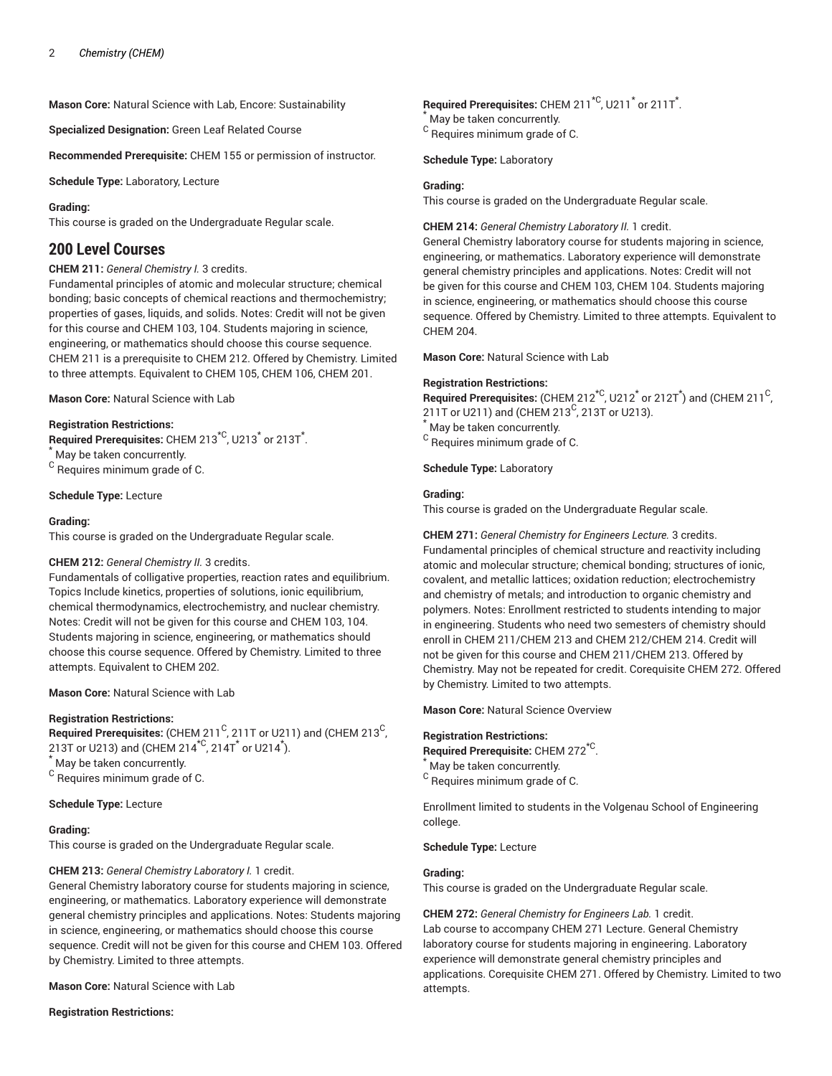**Mason Core:** Natural Science with Lab, Encore: Sustainability

**Specialized Designation:** Green Leaf Related Course

**Recommended Prerequisite:** CHEM 155 or permission of instructor.

**Schedule Type:** Laboratory, Lecture

#### **Grading:**

This course is graded on the Undergraduate Regular scale.

# **200 Level Courses**

#### **CHEM 211:** *General Chemistry I.* 3 credits.

Fundamental principles of atomic and molecular structure; chemical bonding; basic concepts of chemical reactions and thermochemistry; properties of gases, liquids, and solids. Notes: Credit will not be given for this course and CHEM 103, 104. Students majoring in science, engineering, or mathematics should choose this course sequence. CHEM 211 is a prerequisite to CHEM 212. Offered by Chemistry. Limited to three attempts. Equivalent to CHEM 105, CHEM 106, CHEM 201.

**Mason Core:** Natural Science with Lab

# **Registration Restrictions:**

Required Prerequisites: CHEM 213<sup>\*C</sup>, U213<sup>\*</sup> or 213T<sup>\*</sup>.

\* May be taken concurrently.

<sup>C</sup> Requires minimum grade of C.

**Schedule Type:** Lecture

#### **Grading:**

This course is graded on the Undergraduate Regular scale.

#### **CHEM 212:** *General Chemistry II.* 3 credits.

Fundamentals of colligative properties, reaction rates and equilibrium. Topics Include kinetics, properties of solutions, ionic equilibrium, chemical thermodynamics, electrochemistry, and nuclear chemistry. Notes: Credit will not be given for this course and CHEM 103, 104. Students majoring in science, engineering, or mathematics should choose this course sequence. Offered by Chemistry. Limited to three attempts. Equivalent to CHEM 202.

**Mason Core:** Natural Science with Lab

#### **Registration Restrictions:**

 $\mathsf{\mathsf{Required\ Pre} }$  retequisites: (CHEM 211<sup>C</sup>, 211T or U211) and (CHEM 213<sup>C</sup> , 213T or U213) and (CHEM 214 $^{\star{\mathsf{C}}}$ , 214T $^{\star}$  or U214 $^{\star}$ ). May be taken concurrently.

<sup>C</sup> Requires minimum grade of C.

**Schedule Type:** Lecture

#### **Grading:**

This course is graded on the Undergraduate Regular scale.

#### **CHEM 213:** *General Chemistry Laboratory I.* 1 credit.

General Chemistry laboratory course for students majoring in science, engineering, or mathematics. Laboratory experience will demonstrate general chemistry principles and applications. Notes: Students majoring in science, engineering, or mathematics should choose this course sequence. Credit will not be given for this course and CHEM 103. Offered by Chemistry. Limited to three attempts.

**Mason Core:** Natural Science with Lab

#### **Registration Restrictions:**

# Required Prerequisites: CHEM 211<sup>\*C</sup>, U211<sup>\*</sup> or 211T<sup>\*</sup>.

May be taken concurrently.

 $^{\rm C}$  Requires minimum grade of C.

**Schedule Type:** Laboratory

#### **Grading:**

This course is graded on the Undergraduate Regular scale.

#### **CHEM 214:** *General Chemistry Laboratory II.* 1 credit.

General Chemistry laboratory course for students majoring in science, engineering, or mathematics. Laboratory experience will demonstrate general chemistry principles and applications. Notes: Credit will not be given for this course and CHEM 103, CHEM 104. Students majoring in science, engineering, or mathematics should choose this course sequence. Offered by Chemistry. Limited to three attempts. Equivalent to CHEM 204.

**Mason Core:** Natural Science with Lab

#### **Registration Restrictions:**

 $\mathsf{\mathsf{Required\ Pre}}$  retequisites: (CHEM 212 $^{\star{\mathsf{C}}}$ , U212 $^{\star}$  or 212T $^{\star}$ ) and (CHEM 211 $^{\mathsf{C}}$ , 211T or U211) and (CHEM 213<sup>C</sup>, 213T or U213).

May be taken concurrently.

 $^{\rm C}$  Requires minimum grade of C.

**Schedule Type:** Laboratory

#### **Grading:**

This course is graded on the Undergraduate Regular scale.

**CHEM 271:** *General Chemistry for Engineers Lecture.* 3 credits. Fundamental principles of chemical structure and reactivity including atomic and molecular structure; chemical bonding; structures of ionic, covalent, and metallic lattices; oxidation reduction; electrochemistry and chemistry of metals; and introduction to organic chemistry and polymers. Notes: Enrollment restricted to students intending to major in engineering. Students who need two semesters of chemistry should enroll in CHEM 211/CHEM 213 and CHEM 212/CHEM 214. Credit will not be given for this course and CHEM 211/CHEM 213. Offered by Chemistry. May not be repeated for credit. Corequisite CHEM 272. Offered by Chemistry. Limited to two attempts.

**Mason Core:** Natural Science Overview

#### **Registration Restrictions:**

**Required Prerequisite:** CHEM 272\*C . May be taken concurrently.  $^{\rm C}$  Requires minimum grade of C.

Enrollment limited to students in the Volgenau School of Engineering college.

**Schedule Type:** Lecture

#### **Grading:**

This course is graded on the Undergraduate Regular scale.

**CHEM 272:** *General Chemistry for Engineers Lab.* 1 credit. Lab course to accompany CHEM 271 Lecture. General Chemistry laboratory course for students majoring in engineering. Laboratory experience will demonstrate general chemistry principles and applications. Corequisite CHEM 271. Offered by Chemistry. Limited to two attempts.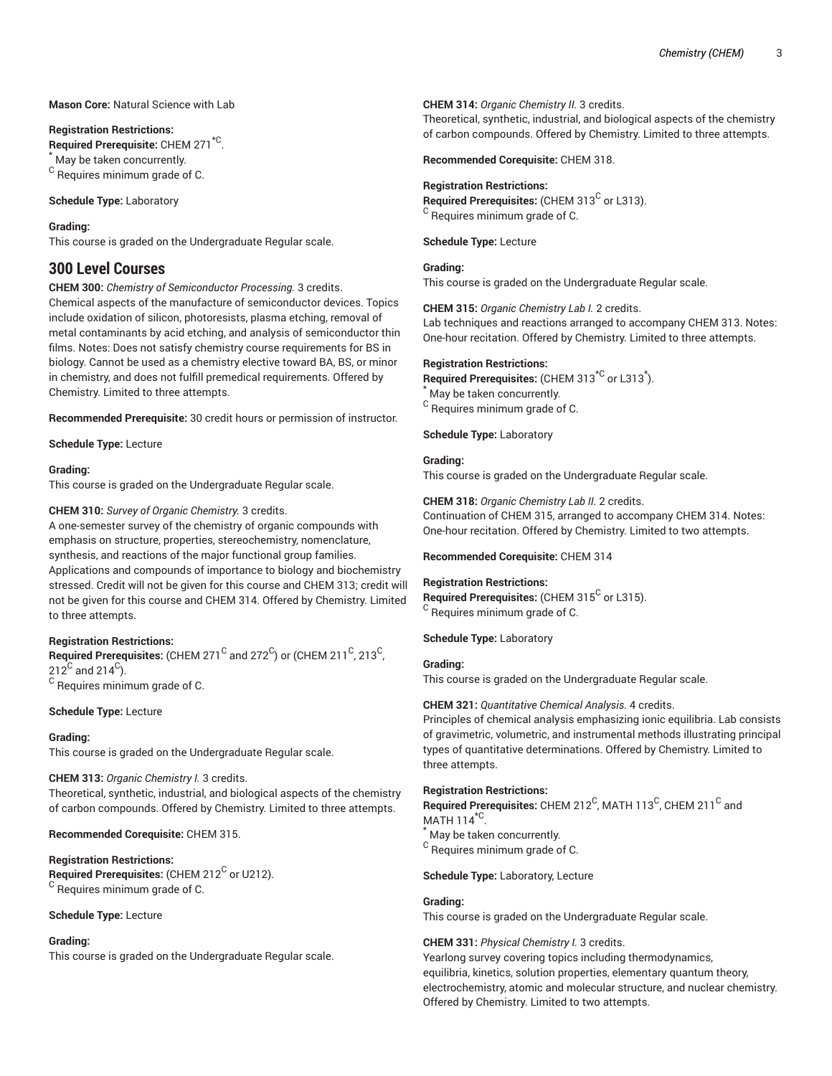# **Mason Core:** Natural Science with Lab

#### **Registration Restrictions:**

**Required Prerequisite:** CHEM 271\*C . May be taken concurrently. <sup>C</sup> Requires minimum grade of C.

**Schedule Type:** Laboratory

# **Grading:**

This course is graded on the Undergraduate Regular scale.

# **300 Level Courses**

**CHEM 300:** *Chemistry of Semiconductor Processing.* 3 credits. Chemical aspects of the manufacture of semiconductor devices. Topics include oxidation of silicon, photoresists, plasma etching, removal of metal contaminants by acid etching, and analysis of semiconductor thin films. Notes: Does not satisfy chemistry course requirements for BS in biology. Cannot be used as a chemistry elective toward BA, BS, or minor in chemistry, and does not fulfill premedical requirements. Offered by Chemistry. Limited to three attempts.

**Recommended Prerequisite:** 30 credit hours or permission of instructor.

**Schedule Type:** Lecture

# **Grading:**

This course is graded on the Undergraduate Regular scale.

# **CHEM 310:** *Survey of Organic Chemistry.* 3 credits.

A one-semester survey of the chemistry of organic compounds with emphasis on structure, properties, stereochemistry, nomenclature, synthesis, and reactions of the major functional group families. Applications and compounds of importance to biology and biochemistry stressed. Credit will not be given for this course and CHEM 313; credit will not be given for this course and CHEM 314. Offered by Chemistry. Limited to three attempts.

# **Registration Restrictions:**

 $\mathsf{\mathsf{Required\ Pre}}$  retequisites: (CHEM 271  $^\mathsf{C}$  and 272  $^\mathsf{C}$ ) or (CHEM 211  $^\mathsf{C}$ , 213  $^\mathsf{C}$ , 212 $^{\mathrm{C}}$  and 214 $^{\mathrm{C}}$ ).  $^{\rm C}$  Requires minimum grade of C.

# **Schedule Type:** Lecture

#### **Grading:**

This course is graded on the Undergraduate Regular scale.

#### **CHEM 313:** *Organic Chemistry I.* 3 credits.

Theoretical, synthetic, industrial, and biological aspects of the chemistry of carbon compounds. Offered by Chemistry. Limited to three attempts.

#### **Recommended Corequisite:** CHEM 315.

#### **Registration Restrictions:**

 $\bm{\mathsf{Required} }$  Prerequisites: (CHEM 212 $^\mathsf{C}$  or U212). <sup>C</sup> Requires minimum grade of C.

#### **Schedule Type:** Lecture

#### **Grading:**

This course is graded on the Undergraduate Regular scale.

#### **CHEM 314:** *Organic Chemistry II.* 3 credits.

Theoretical, synthetic, industrial, and biological aspects of the chemistry of carbon compounds. Offered by Chemistry. Limited to three attempts.

**Recommended Corequisite:** CHEM 318.

#### **Registration Restrictions:**

Required Prerequisites: (CHEM 313<sup>C</sup> or L313). <sup>C</sup> Requires minimum grade of C.

**Schedule Type:** Lecture

# **Grading:**

This course is graded on the Undergraduate Regular scale.

**CHEM 315:** *Organic Chemistry Lab I.* 2 credits.

Lab techniques and reactions arranged to accompany CHEM 313. Notes: One-hour recitation. Offered by Chemistry. Limited to three attempts.

#### **Registration Restrictions:**

Required Prerequisites: (CHEM 313<sup>\*C</sup> or L313<sup>\*</sup>).

May be taken concurrently.  $^{\rm C}$  Requires minimum grade of C.

**Schedule Type:** Laboratory

# **Grading:**

This course is graded on the Undergraduate Regular scale.

**CHEM 318:** *Organic Chemistry Lab II.* 2 credits. Continuation of CHEM 315, arranged to accompany CHEM 314. Notes:

One-hour recitation. Offered by Chemistry. Limited to two attempts.

#### **Recommended Corequisite:** CHEM 314

#### **Registration Restrictions:**

Required Prerequisites: (CHEM 315<sup>C</sup> or L315). <sup>C</sup> Requires minimum grade of C.

**Schedule Type:** Laboratory

# **Grading:**

This course is graded on the Undergraduate Regular scale.

#### **CHEM 321:** *Quantitative Chemical Analysis.* 4 credits.

Principles of chemical analysis emphasizing ionic equilibria. Lab consists of gravimetric, volumetric, and instrumental methods illustrating principal types of quantitative determinations. Offered by Chemistry. Limited to three attempts.

#### **Registration Restrictions:**

 $\mathsf{\mathsf{Required\ Pre}}$  retequisites: <code>CHEM 212 $^{\mathsf{C}}$ , MATH 113 $^{\mathsf{C}}$ , CHEM 211 $^{\mathsf{C}}$  and</code> MATH 114 $^{\star}$ C.

May be taken concurrently.

 $^{\rm C}$  Requires minimum grade of C.

#### **Schedule Type:** Laboratory, Lecture

# **Grading:**

This course is graded on the Undergraduate Regular scale.

#### **CHEM 331:** *Physical Chemistry I.* 3 credits.

Yearlong survey covering topics including thermodynamics, equilibria, kinetics, solution properties, elementary quantum theory, electrochemistry, atomic and molecular structure, and nuclear chemistry. Offered by Chemistry. Limited to two attempts.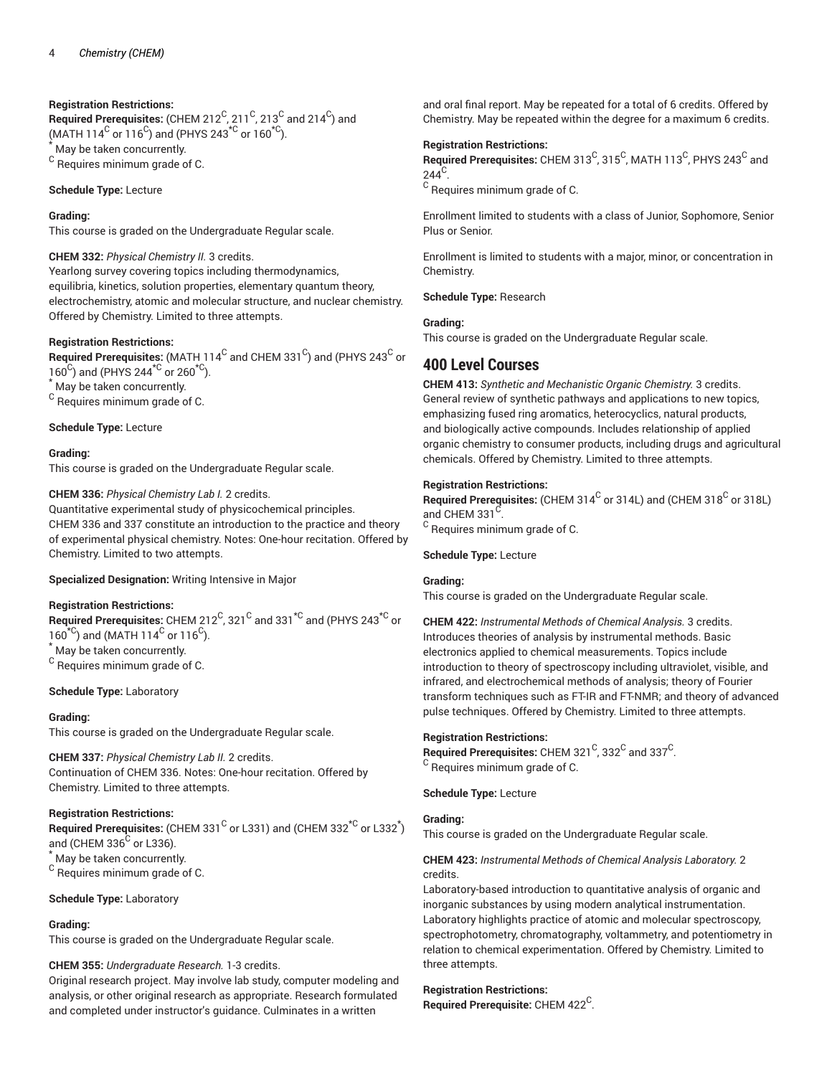# **Registration Restrictions:**

 $\bf{Required \textit{Prerequisite:}}$  (CHEM 212 $^{\rm C}$ , 211 $^{\rm C}$ , 213 $^{\rm C}$  and 214 $^{\rm C}$ ) and (MATH 114<sup>C</sup> or 116<sup>C</sup>) and (PHYS 243<sup>\*C</sup> or 160<sup>\*C</sup>). May be taken concurrently. <sup>C</sup> Requires minimum grade of C.

**Schedule Type:** Lecture

# **Grading:**

This course is graded on the Undergraduate Regular scale.

# **CHEM 332:** *Physical Chemistry II.* 3 credits.

Yearlong survey covering topics including thermodynamics, equilibria, kinetics, solution properties, elementary quantum theory, electrochemistry, atomic and molecular structure, and nuclear chemistry. Offered by Chemistry. Limited to three attempts.

# **Registration Restrictions:**

 $\bf{Required\ Pre requires:}$  (MATH 114 $^{\rm C}$  and CHEM 331 $^{\rm C}$ ) and (PHYS 243 $^{\rm C}$  or  $160^{\circ}$ ) and (PHYS 244<sup>\*C</sup> or 260<sup>\*C</sup>).

May be taken concurrently.

 $^{\rm C}$  Requires minimum grade of C.

# **Schedule Type:** Lecture

# **Grading:**

This course is graded on the Undergraduate Regular scale.

# **CHEM 336:** *Physical Chemistry Lab I.* 2 credits.

Quantitative experimental study of physicochemical principles. CHEM 336 and 337 constitute an introduction to the practice and theory of experimental physical chemistry. Notes: One-hour recitation. Offered by Chemistry. Limited to two attempts.

# **Specialized Designation:** Writing Intensive in Major

# **Registration Restrictions:**

 $\mathsf{Required\ Pre requires: } \mathsf{CHEM\ 212}^\mathsf{C}, 321^\mathsf{C} \text{ and } 331^{*\mathsf{C}} \text{ and } (\mathsf{PHYS\ 243}^{*\mathsf{C}} \text{ or }$  $160<sup>×</sup>C$ ) and (MATH  $114<sup>C</sup>$  or  $116<sup>C</sup>$ ).

\* May be taken concurrently.

<sup>C</sup> Requires minimum grade of C.

# **Schedule Type:** Laboratory

# **Grading:**

This course is graded on the Undergraduate Regular scale.

**CHEM 337:** *Physical Chemistry Lab II.* 2 credits. Continuation of CHEM 336. Notes: One-hour recitation. Offered by Chemistry. Limited to three attempts.

# **Registration Restrictions:**

 $\mathsf{\small Required\ Pre}$  rerequisites: (CHEM 331  $^{\mathsf{\small C}}$  or L331) and (CHEM 332 $^{\star\mathsf{\small C}}$  or L332 $^{\star}$ ) and (CHEM 336 $^{\mathrm{C}}$  or L336). \* May be taken concurrently.

<sup>C</sup> Requires minimum grade of C.

**Schedule Type:** Laboratory

# **Grading:**

This course is graded on the Undergraduate Regular scale.

# **CHEM 355:** *Undergraduate Research.* 1-3 credits.

Original research project. May involve lab study, computer modeling and analysis, or other original research as appropriate. Research formulated and completed under instructor's guidance. Culminates in a written

and oral final report. May be repeated for a total of 6 credits. Offered by Chemistry. May be repeated within the degree for a maximum 6 credits.

# **Registration Restrictions:**

 $\bf{Required\ Pre requires:}$  CHEM 313 $^{\rm C}$ , 315 $^{\rm C}$ , MATH 113 $^{\rm C}$ , PHYS 243 $^{\rm C}$  and  $244^{\circ}$ .

 $^{\rm C}$  Requires minimum grade of C.

Enrollment limited to students with a class of Junior, Sophomore, Senior Plus or Senior.

Enrollment is limited to students with a major, minor, or concentration in Chemistry.

**Schedule Type:** Research

# **Grading:**

This course is graded on the Undergraduate Regular scale.

# **400 Level Courses**

**CHEM 413:** *Synthetic and Mechanistic Organic Chemistry.* 3 credits. General review of synthetic pathways and applications to new topics, emphasizing fused ring aromatics, heterocyclics, natural products, and biologically active compounds. Includes relationship of applied organic chemistry to consumer products, including drugs and agricultural chemicals. Offered by Chemistry. Limited to three attempts.

# **Registration Restrictions:**

Required Prerequisites: (CHEM 314<sup>C</sup> or 314L) and (CHEM 318<sup>C</sup> or 318L) and CHEM 331 $^{\circ}$ .

 $^{\rm C}$  Requires minimum grade of C.

#### **Schedule Type:** Lecture

# **Grading:**

This course is graded on the Undergraduate Regular scale.

**CHEM 422:** *Instrumental Methods of Chemical Analysis.* 3 credits. Introduces theories of analysis by instrumental methods. Basic electronics applied to chemical measurements. Topics include introduction to theory of spectroscopy including ultraviolet, visible, and infrared, and electrochemical methods of analysis; theory of Fourier transform techniques such as FT-IR and FT-NMR; and theory of advanced pulse techniques. Offered by Chemistry. Limited to three attempts.

# **Registration Restrictions:**

**Required Prerequisites:** CHEM 321  $^{\text{C}}$ , 332  $^{\text{C}}$  and 337  $^{\text{C}}$ . <sup>C</sup> Requires minimum grade of C.

**Schedule Type:** Lecture

# **Grading:**

This course is graded on the Undergraduate Regular scale.

# **CHEM 423:** *Instrumental Methods of Chemical Analysis Laboratory.* 2 credits.

Laboratory-based introduction to quantitative analysis of organic and inorganic substances by using modern analytical instrumentation. Laboratory highlights practice of atomic and molecular spectroscopy, spectrophotometry, chromatography, voltammetry, and potentiometry in relation to chemical experimentation. Offered by Chemistry. Limited to three attempts.

# **Registration Restrictions:**

Required Prerequisite: CHEM 422<sup>C</sup>.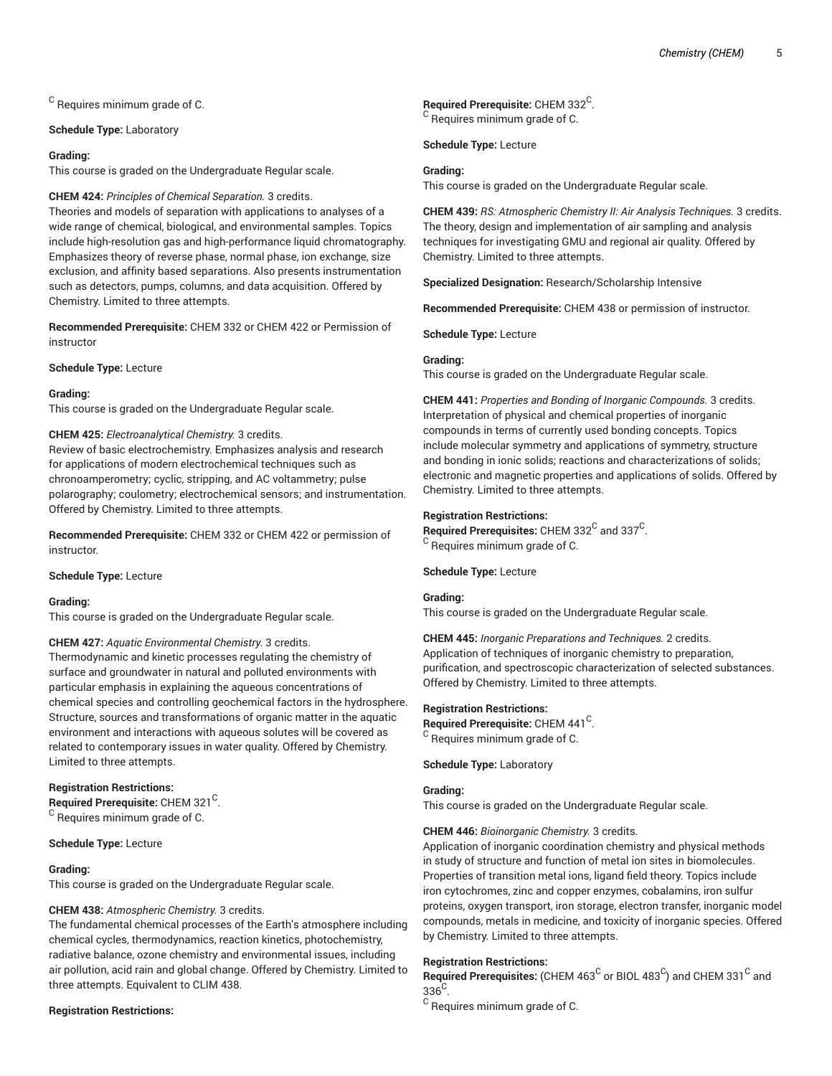$^{\rm C}$  Requires minimum grade of C.

#### **Schedule Type:** Laboratory

#### **Grading:**

This course is graded on the Undergraduate Regular scale.

#### **CHEM 424:** *Principles of Chemical Separation.* 3 credits.

Theories and models of separation with applications to analyses of a wide range of chemical, biological, and environmental samples. Topics include high-resolution gas and high-performance liquid chromatography. Emphasizes theory of reverse phase, normal phase, ion exchange, size exclusion, and affinity based separations. Also presents instrumentation such as detectors, pumps, columns, and data acquisition. Offered by Chemistry. Limited to three attempts.

**Recommended Prerequisite:** CHEM 332 or CHEM 422 or Permission of instructor

#### **Schedule Type:** Lecture

#### **Grading:**

This course is graded on the Undergraduate Regular scale.

#### **CHEM 425:** *Electroanalytical Chemistry.* 3 credits.

Review of basic electrochemistry. Emphasizes analysis and research for applications of modern electrochemical techniques such as chronoamperometry; cyclic, stripping, and AC voltammetry; pulse polarography; coulometry; electrochemical sensors; and instrumentation. Offered by Chemistry. Limited to three attempts.

**Recommended Prerequisite:** CHEM 332 or CHEM 422 or permission of instructor.

#### **Schedule Type:** Lecture

#### **Grading:**

This course is graded on the Undergraduate Regular scale.

# **CHEM 427:** *Aquatic Environmental Chemistry.* 3 credits.

Thermodynamic and kinetic processes regulating the chemistry of surface and groundwater in natural and polluted environments with particular emphasis in explaining the aqueous concentrations of chemical species and controlling geochemical factors in the hydrosphere. Structure, sources and transformations of organic matter in the aquatic environment and interactions with aqueous solutes will be covered as related to contemporary issues in water quality. Offered by Chemistry. Limited to three attempts.

#### **Registration Restrictions:**

Required Prerequisite: CHEM 321<sup>C</sup>.  $\rm ^C$  Requires minimum grade of C.

#### **Schedule Type:** Lecture

#### **Grading:**

This course is graded on the Undergraduate Regular scale.

#### **CHEM 438:** *Atmospheric Chemistry.* 3 credits.

The fundamental chemical processes of the Earth's atmosphere including chemical cycles, thermodynamics, reaction kinetics, photochemistry, radiative balance, ozone chemistry and environmental issues, including air pollution, acid rain and global change. Offered by Chemistry. Limited to three attempts. Equivalent to CLIM 438.

#### **Registration Restrictions:**

Required Prerequisite: CHEM 332<sup>C</sup>.

<sup>C</sup> Requires minimum grade of C.

**Schedule Type:** Lecture

#### **Grading:**

This course is graded on the Undergraduate Regular scale.

**CHEM 439:** *RS: Atmospheric Chemistry II: Air Analysis Techniques.* 3 credits. The theory, design and implementation of air sampling and analysis techniques for investigating GMU and regional air quality. Offered by Chemistry. Limited to three attempts.

**Specialized Designation:** Research/Scholarship Intensive

**Recommended Prerequisite:** CHEM 438 or permission of instructor.

**Schedule Type:** Lecture

#### **Grading:**

This course is graded on the Undergraduate Regular scale.

**CHEM 441:** *Properties and Bonding of Inorganic Compounds.* 3 credits. Interpretation of physical and chemical properties of inorganic compounds in terms of currently used bonding concepts. Topics include molecular symmetry and applications of symmetry, structure and bonding in ionic solids; reactions and characterizations of solids; electronic and magnetic properties and applications of solids. Offered by Chemistry. Limited to three attempts.

#### **Registration Restrictions:**

 $\mathsf{Required}$  Prerequisites: CHEM 332 $^\mathsf{C}$  and 337 $^\mathsf{C}$ . <sup>C</sup> Requires minimum grade of C.

# **Schedule Type:** Lecture

#### **Grading:**

This course is graded on the Undergraduate Regular scale.

**CHEM 445:** *Inorganic Preparations and Techniques.* 2 credits. Application of techniques of inorganic chemistry to preparation, purification, and spectroscopic characterization of selected substances. Offered by Chemistry. Limited to three attempts.

#### **Registration Restrictions:**

Required Prerequisite: CHEM 441<sup>C</sup>. <sup>C</sup> Requires minimum grade of C.

**Schedule Type:** Laboratory

# **Grading:**

This course is graded on the Undergraduate Regular scale.

#### **CHEM 446:** *Bioinorganic Chemistry.* 3 credits.

Application of inorganic coordination chemistry and physical methods in study of structure and function of metal ion sites in biomolecules. Properties of transition metal ions, ligand field theory. Topics include iron cytochromes, zinc and copper enzymes, cobalamins, iron sulfur proteins, oxygen transport, iron storage, electron transfer, inorganic model compounds, metals in medicine, and toxicity of inorganic species. Offered by Chemistry. Limited to three attempts.

# **Registration Restrictions:**

 $\bf{Required\ Pre requires:}$  (CHEM 463 $^{\rm C}$  or BIOL 483 $^{\rm C}$ ) and CHEM 331 $^{\rm C}$  and  $336^{\circ}$ .

 $^{\rm C}$  Requires minimum grade of C.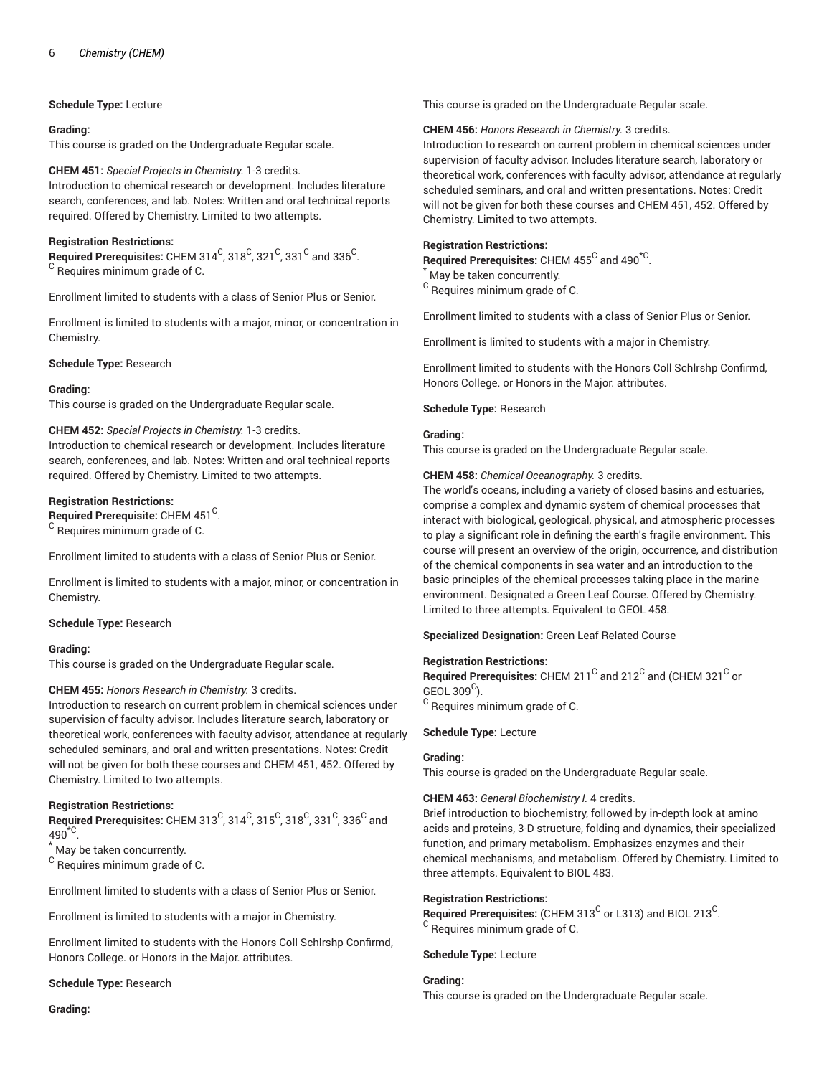# **Schedule Type:** Lecture

#### **Grading:**

This course is graded on the Undergraduate Regular scale.

# **CHEM 451:** *Special Projects in Chemistry.* 1-3 credits.

Introduction to chemical research or development. Includes literature search, conferences, and lab. Notes: Written and oral technical reports required. Offered by Chemistry. Limited to two attempts.

# **Registration Restrictions:**

 $\,$  Required Prerequisites: <code>CHEM</code> 314 $^{\rm C}$ , 318 $^{\rm C}$ , 321 $^{\rm C}$ , 331 $^{\rm C}$  and 336 $^{\rm C}$ .  $\rm ^C$  Requires minimum grade of C.

Enrollment limited to students with a class of Senior Plus or Senior.

Enrollment is limited to students with a major, minor, or concentration in Chemistry.

**Schedule Type:** Research

# **Grading:**

This course is graded on the Undergraduate Regular scale.

# **CHEM 452:** *Special Projects in Chemistry.* 1-3 credits.

Introduction to chemical research or development. Includes literature search, conferences, and lab. Notes: Written and oral technical reports required. Offered by Chemistry. Limited to two attempts.

# **Registration Restrictions:**

Required Prerequisite: CHEM 451<sup>C</sup>.

<sup>C</sup> Requires minimum grade of C.

Enrollment limited to students with a class of Senior Plus or Senior.

Enrollment is limited to students with a major, minor, or concentration in Chemistry.

#### **Schedule Type:** Research

#### **Grading:**

This course is graded on the Undergraduate Regular scale.

#### **CHEM 455:** *Honors Research in Chemistry.* 3 credits.

Introduction to research on current problem in chemical sciences under supervision of faculty advisor. Includes literature search, laboratory or theoretical work, conferences with faculty advisor, attendance at regularly scheduled seminars, and oral and written presentations. Notes: Credit will not be given for both these courses and CHEM 451, 452. Offered by Chemistry. Limited to two attempts.

# **Registration Restrictions:**

 $\bf{Required \textit{Prerequisite:} \text{CHEM 313}^C, 314^C, 315^C, 318^C, 331^C, 336^C \text{ and} }$ 490 $^{\star}$ C $.$ 

\* May be taken concurrently.

<sup>C</sup> Requires minimum grade of C.

Enrollment limited to students with a class of Senior Plus or Senior.

Enrollment is limited to students with a major in Chemistry.

Enrollment limited to students with the Honors Coll Schlrshp Confirmd, Honors College. or Honors in the Major. attributes.

#### **Schedule Type:** Research

**Grading:**

This course is graded on the Undergraduate Regular scale.

#### **CHEM 456:** *Honors Research in Chemistry.* 3 credits.

Introduction to research on current problem in chemical sciences under supervision of faculty advisor. Includes literature search, laboratory or theoretical work, conferences with faculty advisor, attendance at regularly scheduled seminars, and oral and written presentations. Notes: Credit will not be given for both these courses and CHEM 451, 452. Offered by Chemistry. Limited to two attempts.

# **Registration Restrictions:**

 $\mathsf{Required}$  Prerequisites: CHEM 455 $^\mathsf{C}$  and 490 $^{\star\mathsf{C}}$ .

May be taken concurrently.

 $^{\rm C}$  Requires minimum grade of C.

Enrollment limited to students with a class of Senior Plus or Senior.

Enrollment is limited to students with a major in Chemistry.

Enrollment limited to students with the Honors Coll Schlrshp Confirmd, Honors College. or Honors in the Major. attributes.

#### **Schedule Type:** Research

#### **Grading:**

This course is graded on the Undergraduate Regular scale.

#### **CHEM 458:** *Chemical Oceanography.* 3 credits.

The world's oceans, including a variety of closed basins and estuaries, comprise a complex and dynamic system of chemical processes that interact with biological, geological, physical, and atmospheric processes to play a significant role in defining the earth's fragile environment. This course will present an overview of the origin, occurrence, and distribution of the chemical components in sea water and an introduction to the basic principles of the chemical processes taking place in the marine environment. Designated a Green Leaf Course. Offered by Chemistry. Limited to three attempts. Equivalent to GEOL 458.

#### **Specialized Designation:** Green Leaf Related Course

#### **Registration Restrictions:**

**Required Prerequisites:** CHEM 211<sup>C</sup> and 212<sup>C</sup> and (CHEM 321<sup>C</sup> or GEOL 309 $^{\circ}$ ).  $^{\rm C}$  Requires minimum grade of C.

## **Schedule Type:** Lecture

#### **Grading:**

This course is graded on the Undergraduate Regular scale.

#### **CHEM 463:** *General Biochemistry I.* 4 credits.

Brief introduction to biochemistry, followed by in-depth look at amino acids and proteins, 3-D structure, folding and dynamics, their specialized function, and primary metabolism. Emphasizes enzymes and their chemical mechanisms, and metabolism. Offered by Chemistry. Limited to three attempts. Equivalent to BIOL 483.

#### **Registration Restrictions:**

Required Prerequisites: (CHEM 313 $^{\rm C}$  or L313) and BIOL 213 $^{\rm C}$ . <sup>C</sup> Requires minimum grade of C.

**Schedule Type:** Lecture

# **Grading:**

This course is graded on the Undergraduate Regular scale.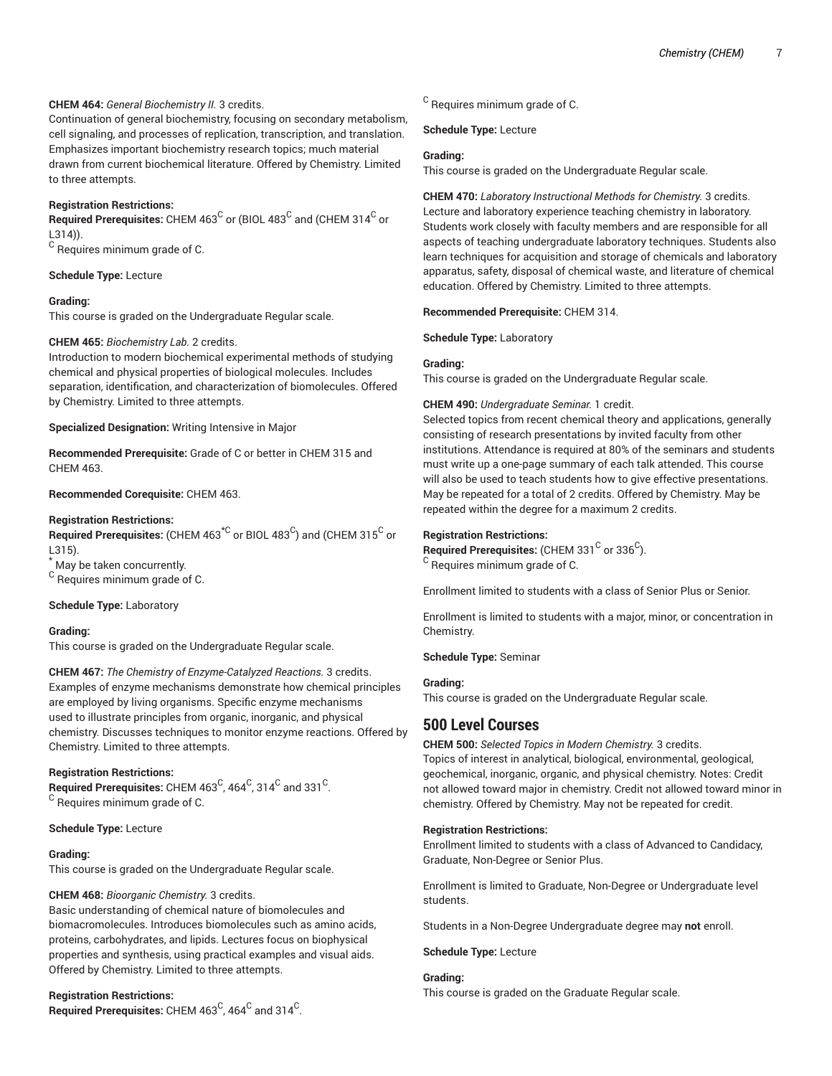# **CHEM 464:** *General Biochemistry II.* 3 credits.

Continuation of general biochemistry, focusing on secondary metabolism, cell signaling, and processes of replication, transcription, and translation. Emphasizes important biochemistry research topics; much material drawn from current biochemical literature. Offered by Chemistry. Limited to three attempts.

# **Registration Restrictions:**

 $\bf{Required~Pre requires:}$  CHEM 463 $^{\rm C}$  or (BIOL 483 $^{\rm C}$  and (CHEM 314 $^{\rm C}$  or L314)).

 $^{\mathsf{C}}$  Requires minimum grade of C.

**Schedule Type:** Lecture

#### **Grading:**

This course is graded on the Undergraduate Regular scale.

# **CHEM 465:** *Biochemistry Lab.* 2 credits.

Introduction to modern biochemical experimental methods of studying chemical and physical properties of biological molecules. Includes separation, identification, and characterization of biomolecules. Offered by Chemistry. Limited to three attempts.

**Specialized Designation:** Writing Intensive in Major

**Recommended Prerequisite:** Grade of C or better in CHEM 315 and CHEM 463.

**Recommended Corequisite:** CHEM 463.

#### **Registration Restrictions:**

 $\mathsf{\mathsf{Required\ Pre}}$  retequisites: (CHEM 463 $^{\star\mathsf{C}}$  or BIOL 483 $^{\mathsf{C}}$ ) and (CHEM 315 $^{\mathsf{C}}$  or L315).

\* May be taken concurrently.

<sup>C</sup> Requires minimum grade of C.

#### **Schedule Type:** Laboratory

#### **Grading:**

This course is graded on the Undergraduate Regular scale.

**CHEM 467:** *The Chemistry of Enzyme-Catalyzed Reactions.* 3 credits. Examples of enzyme mechanisms demonstrate how chemical principles are employed by living organisms. Specific enzyme mechanisms used to illustrate principles from organic, inorganic, and physical chemistry. Discusses techniques to monitor enzyme reactions. Offered by Chemistry. Limited to three attempts.

# **Registration Restrictions:**

 $\mathsf{\mathsf{Required} Pre requires: } \mathsf{CHEM} \textrm{ } 463^\mathsf{C}$ ,  $464^\mathsf{C}$ ,  $314^\mathsf{C}$  and  $331^\mathsf{C}$ . <sup>C</sup> Requires minimum grade of C.

#### **Schedule Type:** Lecture

# **Grading:**

This course is graded on the Undergraduate Regular scale.

# **CHEM 468:** *Bioorganic Chemistry.* 3 credits.

Basic understanding of chemical nature of biomolecules and biomacromolecules. Introduces biomolecules such as amino acids, proteins, carbohydrates, and lipids. Lectures focus on biophysical properties and synthesis, using practical examples and visual aids. Offered by Chemistry. Limited to three attempts.

#### **Registration Restrictions:**

**Required Prerequisites:** CHEM 463<sup>C</sup>, 464<sup>C</sup> and 314<sup>C</sup>.

 $^{\rm C}$  Requires minimum grade of C.

**Schedule Type:** Lecture

#### **Grading:**

This course is graded on the Undergraduate Regular scale.

**CHEM 470:** *Laboratory Instructional Methods for Chemistry.* 3 credits. Lecture and laboratory experience teaching chemistry in laboratory. Students work closely with faculty members and are responsible for all aspects of teaching undergraduate laboratory techniques. Students also learn techniques for acquisition and storage of chemicals and laboratory apparatus, safety, disposal of chemical waste, and literature of chemical education. Offered by Chemistry. Limited to three attempts.

#### **Recommended Prerequisite:** CHEM 314.

**Schedule Type:** Laboratory

#### **Grading:**

This course is graded on the Undergraduate Regular scale.

#### **CHEM 490:** *Undergraduate Seminar.* 1 credit.

Selected topics from recent chemical theory and applications, generally consisting of research presentations by invited faculty from other institutions. Attendance is required at 80% of the seminars and students must write up a one-page summary of each talk attended. This course will also be used to teach students how to give effective presentations. May be repeated for a total of 2 credits. Offered by Chemistry. May be repeated within the degree for a maximum 2 credits.

#### **Registration Restrictions:**

 $\mathsf{\mathsf{Required}~Prerequires:}$  (CHEM 331  $^\mathsf{C}$  or 336  $^\mathsf{C}$ ).  $\rm ^C$  Requires minimum grade of C.

Enrollment limited to students with a class of Senior Plus or Senior.

Enrollment is limited to students with a major, minor, or concentration in Chemistry.

# **Schedule Type:** Seminar

#### **Grading:**

This course is graded on the Undergraduate Regular scale.

# **500 Level Courses**

**CHEM 500:** *Selected Topics in Modern Chemistry.* 3 credits. Topics of interest in analytical, biological, environmental, geological, geochemical, inorganic, organic, and physical chemistry. Notes: Credit not allowed toward major in chemistry. Credit not allowed toward minor in chemistry. Offered by Chemistry. May not be repeated for credit.

#### **Registration Restrictions:**

Enrollment limited to students with a class of Advanced to Candidacy, Graduate, Non-Degree or Senior Plus.

Enrollment is limited to Graduate, Non-Degree or Undergraduate level students.

Students in a Non-Degree Undergraduate degree may **not** enroll.

#### **Schedule Type:** Lecture

# **Grading:**

This course is graded on the Graduate Regular scale.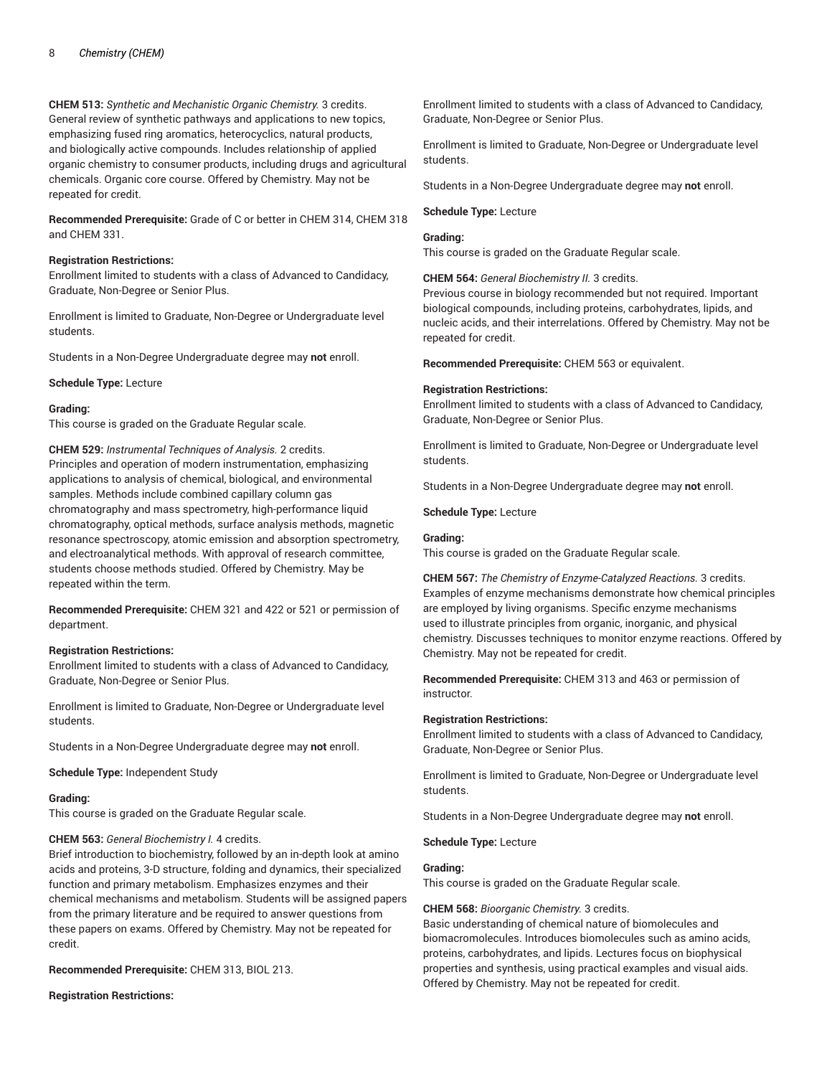**CHEM 513:** *Synthetic and Mechanistic Organic Chemistry.* 3 credits. General review of synthetic pathways and applications to new topics, emphasizing fused ring aromatics, heterocyclics, natural products, and biologically active compounds. Includes relationship of applied organic chemistry to consumer products, including drugs and agricultural chemicals. Organic core course. Offered by Chemistry. May not be repeated for credit.

**Recommended Prerequisite:** Grade of C or better in CHEM 314, CHEM 318 and CHEM 331.

#### **Registration Restrictions:**

Enrollment limited to students with a class of Advanced to Candidacy, Graduate, Non-Degree or Senior Plus.

Enrollment is limited to Graduate, Non-Degree or Undergraduate level students.

Students in a Non-Degree Undergraduate degree may **not** enroll.

**Schedule Type:** Lecture

#### **Grading:**

This course is graded on the Graduate Regular scale.

**CHEM 529:** *Instrumental Techniques of Analysis.* 2 credits. Principles and operation of modern instrumentation, emphasizing applications to analysis of chemical, biological, and environmental samples. Methods include combined capillary column gas chromatography and mass spectrometry, high-performance liquid chromatography, optical methods, surface analysis methods, magnetic resonance spectroscopy, atomic emission and absorption spectrometry, and electroanalytical methods. With approval of research committee, students choose methods studied. Offered by Chemistry. May be repeated within the term.

**Recommended Prerequisite:** CHEM 321 and 422 or 521 or permission of department.

#### **Registration Restrictions:**

Enrollment limited to students with a class of Advanced to Candidacy, Graduate, Non-Degree or Senior Plus.

Enrollment is limited to Graduate, Non-Degree or Undergraduate level students.

Students in a Non-Degree Undergraduate degree may **not** enroll.

**Schedule Type:** Independent Study

## **Grading:**

This course is graded on the Graduate Regular scale.

#### **CHEM 563:** *General Biochemistry I.* 4 credits.

Brief introduction to biochemistry, followed by an in-depth look at amino acids and proteins, 3-D structure, folding and dynamics, their specialized function and primary metabolism. Emphasizes enzymes and their chemical mechanisms and metabolism. Students will be assigned papers from the primary literature and be required to answer questions from these papers on exams. Offered by Chemistry. May not be repeated for credit.

**Recommended Prerequisite:** CHEM 313, BIOL 213.

**Registration Restrictions:**

Enrollment limited to students with a class of Advanced to Candidacy, Graduate, Non-Degree or Senior Plus.

Enrollment is limited to Graduate, Non-Degree or Undergraduate level students.

Students in a Non-Degree Undergraduate degree may **not** enroll.

#### **Schedule Type:** Lecture

#### **Grading:**

This course is graded on the Graduate Regular scale.

**CHEM 564:** *General Biochemistry II.* 3 credits.

Previous course in biology recommended but not required. Important biological compounds, including proteins, carbohydrates, lipids, and nucleic acids, and their interrelations. Offered by Chemistry. May not be repeated for credit.

**Recommended Prerequisite:** CHEM 563 or equivalent.

#### **Registration Restrictions:**

Enrollment limited to students with a class of Advanced to Candidacy, Graduate, Non-Degree or Senior Plus.

Enrollment is limited to Graduate, Non-Degree or Undergraduate level students.

Students in a Non-Degree Undergraduate degree may **not** enroll.

**Schedule Type:** Lecture

# **Grading:**

This course is graded on the Graduate Regular scale.

**CHEM 567:** *The Chemistry of Enzyme-Catalyzed Reactions.* 3 credits. Examples of enzyme mechanisms demonstrate how chemical principles are employed by living organisms. Specific enzyme mechanisms used to illustrate principles from organic, inorganic, and physical chemistry. Discusses techniques to monitor enzyme reactions. Offered by Chemistry. May not be repeated for credit.

**Recommended Prerequisite:** CHEM 313 and 463 or permission of instructor.

#### **Registration Restrictions:**

Enrollment limited to students with a class of Advanced to Candidacy, Graduate, Non-Degree or Senior Plus.

Enrollment is limited to Graduate, Non-Degree or Undergraduate level students.

Students in a Non-Degree Undergraduate degree may **not** enroll.

**Schedule Type:** Lecture

# **Grading:**

This course is graded on the Graduate Regular scale.

**CHEM 568:** *Bioorganic Chemistry.* 3 credits.

Basic understanding of chemical nature of biomolecules and biomacromolecules. Introduces biomolecules such as amino acids, proteins, carbohydrates, and lipids. Lectures focus on biophysical properties and synthesis, using practical examples and visual aids. Offered by Chemistry. May not be repeated for credit.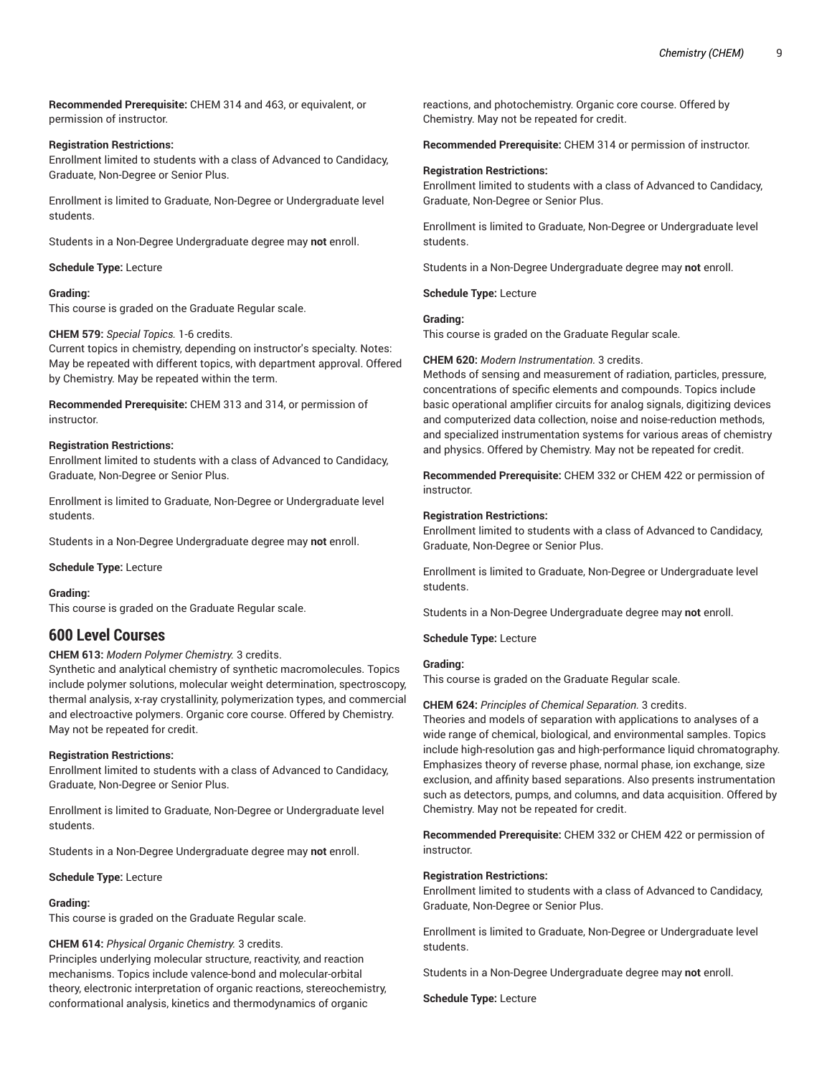**Recommended Prerequisite:** CHEM 314 and 463, or equivalent, or permission of instructor.

# **Registration Restrictions:**

Enrollment limited to students with a class of Advanced to Candidacy, Graduate, Non-Degree or Senior Plus.

Enrollment is limited to Graduate, Non-Degree or Undergraduate level students.

Students in a Non-Degree Undergraduate degree may **not** enroll.

# **Schedule Type:** Lecture

# **Grading:**

This course is graded on the Graduate Regular scale.

#### **CHEM 579:** *Special Topics.* 1-6 credits.

Current topics in chemistry, depending on instructor's specialty. Notes: May be repeated with different topics, with department approval. Offered by Chemistry. May be repeated within the term.

**Recommended Prerequisite:** CHEM 313 and 314, or permission of instructor.

#### **Registration Restrictions:**

Enrollment limited to students with a class of Advanced to Candidacy, Graduate, Non-Degree or Senior Plus.

Enrollment is limited to Graduate, Non-Degree or Undergraduate level students.

Students in a Non-Degree Undergraduate degree may **not** enroll.

**Schedule Type:** Lecture

#### **Grading:**

This course is graded on the Graduate Regular scale.

# **600 Level Courses**

# **CHEM 613:** *Modern Polymer Chemistry.* 3 credits.

Synthetic and analytical chemistry of synthetic macromolecules. Topics include polymer solutions, molecular weight determination, spectroscopy, thermal analysis, x-ray crystallinity, polymerization types, and commercial and electroactive polymers. Organic core course. Offered by Chemistry. May not be repeated for credit.

#### **Registration Restrictions:**

Enrollment limited to students with a class of Advanced to Candidacy, Graduate, Non-Degree or Senior Plus.

Enrollment is limited to Graduate, Non-Degree or Undergraduate level students.

Students in a Non-Degree Undergraduate degree may **not** enroll.

**Schedule Type:** Lecture

#### **Grading:**

This course is graded on the Graduate Regular scale.

#### **CHEM 614:** *Physical Organic Chemistry.* 3 credits.

Principles underlying molecular structure, reactivity, and reaction mechanisms. Topics include valence-bond and molecular-orbital theory, electronic interpretation of organic reactions, stereochemistry, conformational analysis, kinetics and thermodynamics of organic

reactions, and photochemistry. Organic core course. Offered by Chemistry. May not be repeated for credit.

**Recommended Prerequisite:** CHEM 314 or permission of instructor.

#### **Registration Restrictions:**

Enrollment limited to students with a class of Advanced to Candidacy, Graduate, Non-Degree or Senior Plus.

Enrollment is limited to Graduate, Non-Degree or Undergraduate level students.

Students in a Non-Degree Undergraduate degree may **not** enroll.

**Schedule Type:** Lecture

# **Grading:**

This course is graded on the Graduate Regular scale.

# **CHEM 620:** *Modern Instrumentation.* 3 credits.

Methods of sensing and measurement of radiation, particles, pressure, concentrations of specific elements and compounds. Topics include basic operational amplifier circuits for analog signals, digitizing devices and computerized data collection, noise and noise-reduction methods, and specialized instrumentation systems for various areas of chemistry and physics. Offered by Chemistry. May not be repeated for credit.

**Recommended Prerequisite:** CHEM 332 or CHEM 422 or permission of instructor.

#### **Registration Restrictions:**

Enrollment limited to students with a class of Advanced to Candidacy, Graduate, Non-Degree or Senior Plus.

Enrollment is limited to Graduate, Non-Degree or Undergraduate level students.

Students in a Non-Degree Undergraduate degree may **not** enroll.

**Schedule Type:** Lecture

#### **Grading:**

This course is graded on the Graduate Regular scale.

#### **CHEM 624:** *Principles of Chemical Separation.* 3 credits.

Theories and models of separation with applications to analyses of a wide range of chemical, biological, and environmental samples. Topics include high-resolution gas and high-performance liquid chromatography. Emphasizes theory of reverse phase, normal phase, ion exchange, size exclusion, and affinity based separations. Also presents instrumentation such as detectors, pumps, and columns, and data acquisition. Offered by Chemistry. May not be repeated for credit.

**Recommended Prerequisite:** CHEM 332 or CHEM 422 or permission of instructor.

#### **Registration Restrictions:**

Enrollment limited to students with a class of Advanced to Candidacy, Graduate, Non-Degree or Senior Plus.

Enrollment is limited to Graduate, Non-Degree or Undergraduate level students.

Students in a Non-Degree Undergraduate degree may **not** enroll.

**Schedule Type:** Lecture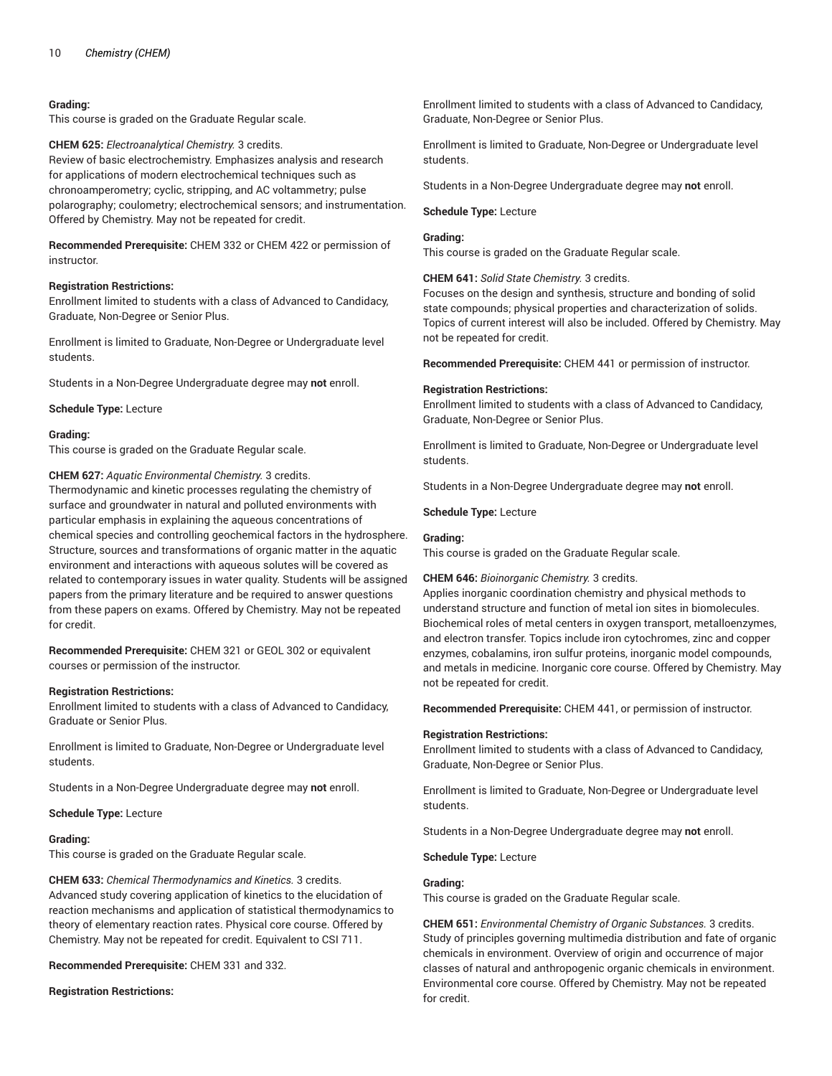#### **Grading:**

This course is graded on the Graduate Regular scale.

**CHEM 625:** *Electroanalytical Chemistry.* 3 credits.

Review of basic electrochemistry. Emphasizes analysis and research for applications of modern electrochemical techniques such as chronoamperometry; cyclic, stripping, and AC voltammetry; pulse polarography; coulometry; electrochemical sensors; and instrumentation. Offered by Chemistry. May not be repeated for credit.

**Recommended Prerequisite:** CHEM 332 or CHEM 422 or permission of instructor.

## **Registration Restrictions:**

Enrollment limited to students with a class of Advanced to Candidacy, Graduate, Non-Degree or Senior Plus.

Enrollment is limited to Graduate, Non-Degree or Undergraduate level students.

Students in a Non-Degree Undergraduate degree may **not** enroll.

**Schedule Type:** Lecture

#### **Grading:**

This course is graded on the Graduate Regular scale.

**CHEM 627:** *Aquatic Environmental Chemistry.* 3 credits.

Thermodynamic and kinetic processes regulating the chemistry of surface and groundwater in natural and polluted environments with particular emphasis in explaining the aqueous concentrations of chemical species and controlling geochemical factors in the hydrosphere. Structure, sources and transformations of organic matter in the aquatic environment and interactions with aqueous solutes will be covered as related to contemporary issues in water quality. Students will be assigned papers from the primary literature and be required to answer questions from these papers on exams. Offered by Chemistry. May not be repeated for credit.

**Recommended Prerequisite:** CHEM 321 or GEOL 302 or equivalent courses or permission of the instructor.

#### **Registration Restrictions:**

Enrollment limited to students with a class of Advanced to Candidacy, Graduate or Senior Plus.

Enrollment is limited to Graduate, Non-Degree or Undergraduate level students.

Students in a Non-Degree Undergraduate degree may **not** enroll.

#### **Schedule Type:** Lecture

#### **Grading:**

This course is graded on the Graduate Regular scale.

**CHEM 633:** *Chemical Thermodynamics and Kinetics.* 3 credits. Advanced study covering application of kinetics to the elucidation of reaction mechanisms and application of statistical thermodynamics to theory of elementary reaction rates. Physical core course. Offered by Chemistry. May not be repeated for credit. Equivalent to CSI 711.

**Recommended Prerequisite:** CHEM 331 and 332.

**Registration Restrictions:**

Enrollment limited to students with a class of Advanced to Candidacy, Graduate, Non-Degree or Senior Plus.

Enrollment is limited to Graduate, Non-Degree or Undergraduate level students.

Students in a Non-Degree Undergraduate degree may **not** enroll.

**Schedule Type:** Lecture

# **Grading:**

This course is graded on the Graduate Regular scale.

**CHEM 641:** *Solid State Chemistry.* 3 credits.

Focuses on the design and synthesis, structure and bonding of solid state compounds; physical properties and characterization of solids. Topics of current interest will also be included. Offered by Chemistry. May not be repeated for credit.

**Recommended Prerequisite:** CHEM 441 or permission of instructor.

#### **Registration Restrictions:**

Enrollment limited to students with a class of Advanced to Candidacy, Graduate, Non-Degree or Senior Plus.

Enrollment is limited to Graduate, Non-Degree or Undergraduate level students.

Students in a Non-Degree Undergraduate degree may **not** enroll.

**Schedule Type:** Lecture

#### **Grading:**

This course is graded on the Graduate Regular scale.

#### **CHEM 646:** *Bioinorganic Chemistry.* 3 credits.

Applies inorganic coordination chemistry and physical methods to understand structure and function of metal ion sites in biomolecules. Biochemical roles of metal centers in oxygen transport, metalloenzymes, and electron transfer. Topics include iron cytochromes, zinc and copper enzymes, cobalamins, iron sulfur proteins, inorganic model compounds, and metals in medicine. Inorganic core course. Offered by Chemistry. May not be repeated for credit.

**Recommended Prerequisite:** CHEM 441, or permission of instructor.

#### **Registration Restrictions:**

Enrollment limited to students with a class of Advanced to Candidacy, Graduate, Non-Degree or Senior Plus.

Enrollment is limited to Graduate, Non-Degree or Undergraduate level students.

Students in a Non-Degree Undergraduate degree may **not** enroll.

**Schedule Type:** Lecture

#### **Grading:**

This course is graded on the Graduate Regular scale.

**CHEM 651:** *Environmental Chemistry of Organic Substances.* 3 credits. Study of principles governing multimedia distribution and fate of organic chemicals in environment. Overview of origin and occurrence of major classes of natural and anthropogenic organic chemicals in environment. Environmental core course. Offered by Chemistry. May not be repeated for credit.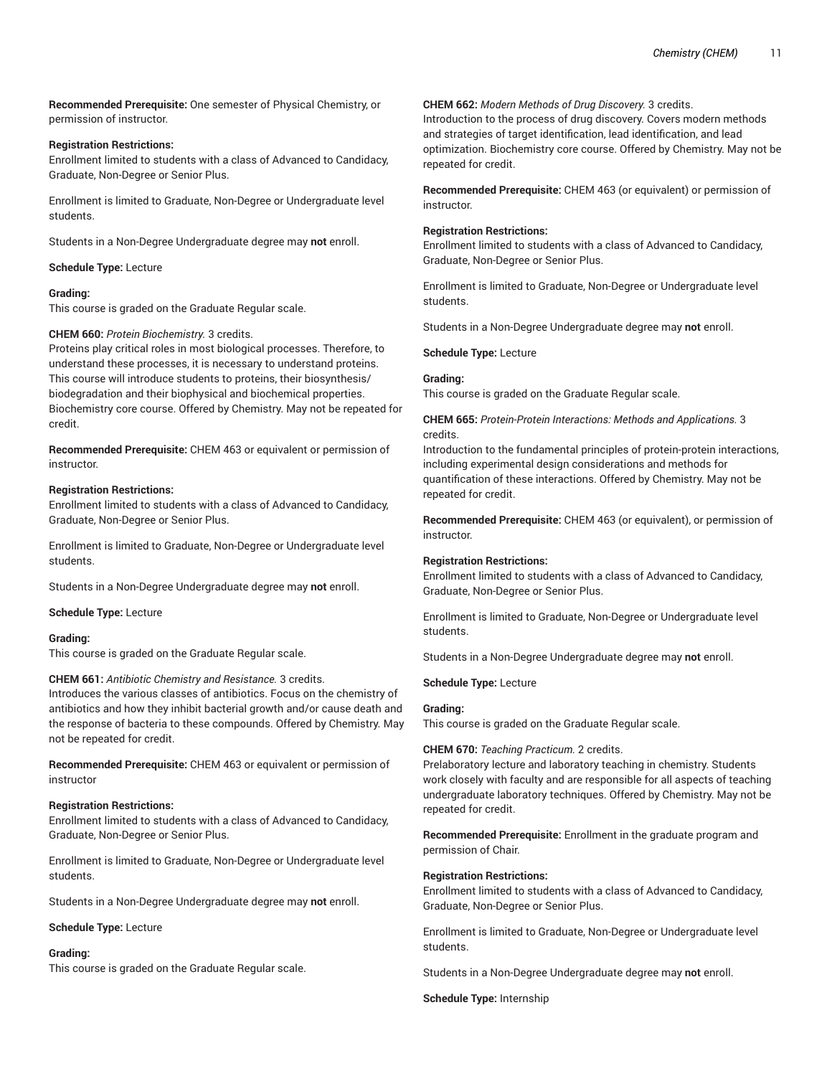**Recommended Prerequisite:** One semester of Physical Chemistry, or permission of instructor.

# **Registration Restrictions:**

Enrollment limited to students with a class of Advanced to Candidacy, Graduate, Non-Degree or Senior Plus.

Enrollment is limited to Graduate, Non-Degree or Undergraduate level students.

Students in a Non-Degree Undergraduate degree may **not** enroll.

# **Schedule Type:** Lecture

# **Grading:**

This course is graded on the Graduate Regular scale.

# **CHEM 660:** *Protein Biochemistry.* 3 credits.

Proteins play critical roles in most biological processes. Therefore, to understand these processes, it is necessary to understand proteins. This course will introduce students to proteins, their biosynthesis/ biodegradation and their biophysical and biochemical properties. Biochemistry core course. Offered by Chemistry. May not be repeated for credit.

**Recommended Prerequisite:** CHEM 463 or equivalent or permission of instructor.

#### **Registration Restrictions:**

Enrollment limited to students with a class of Advanced to Candidacy, Graduate, Non-Degree or Senior Plus.

Enrollment is limited to Graduate, Non-Degree or Undergraduate level students.

Students in a Non-Degree Undergraduate degree may **not** enroll.

**Schedule Type:** Lecture

#### **Grading:**

This course is graded on the Graduate Regular scale.

#### **CHEM 661:** *Antibiotic Chemistry and Resistance.* 3 credits.

Introduces the various classes of antibiotics. Focus on the chemistry of antibiotics and how they inhibit bacterial growth and/or cause death and the response of bacteria to these compounds. Offered by Chemistry. May not be repeated for credit.

**Recommended Prerequisite:** CHEM 463 or equivalent or permission of instructor

#### **Registration Restrictions:**

Enrollment limited to students with a class of Advanced to Candidacy, Graduate, Non-Degree or Senior Plus.

Enrollment is limited to Graduate, Non-Degree or Undergraduate level students.

Students in a Non-Degree Undergraduate degree may **not** enroll.

**Schedule Type:** Lecture

#### **Grading:**

This course is graded on the Graduate Regular scale.

#### **CHEM 662:** *Modern Methods of Drug Discovery.* 3 credits.

Introduction to the process of drug discovery. Covers modern methods and strategies of target identification, lead identification, and lead optimization. Biochemistry core course. Offered by Chemistry. May not be repeated for credit.

**Recommended Prerequisite:** CHEM 463 (or equivalent) or permission of instructor.

# **Registration Restrictions:**

Enrollment limited to students with a class of Advanced to Candidacy, Graduate, Non-Degree or Senior Plus.

Enrollment is limited to Graduate, Non-Degree or Undergraduate level students.

Students in a Non-Degree Undergraduate degree may **not** enroll.

**Schedule Type:** Lecture

# **Grading:**

This course is graded on the Graduate Regular scale.

**CHEM 665:** *Protein-Protein Interactions: Methods and Applications.* 3 credits.

Introduction to the fundamental principles of protein-protein interactions, including experimental design considerations and methods for quantification of these interactions. Offered by Chemistry. May not be repeated for credit.

**Recommended Prerequisite:** CHEM 463 (or equivalent), or permission of instructor.

#### **Registration Restrictions:**

Enrollment limited to students with a class of Advanced to Candidacy, Graduate, Non-Degree or Senior Plus.

Enrollment is limited to Graduate, Non-Degree or Undergraduate level students.

Students in a Non-Degree Undergraduate degree may **not** enroll.

# **Schedule Type:** Lecture

#### **Grading:**

This course is graded on the Graduate Regular scale.

#### **CHEM 670:** *Teaching Practicum.* 2 credits.

Prelaboratory lecture and laboratory teaching in chemistry. Students work closely with faculty and are responsible for all aspects of teaching undergraduate laboratory techniques. Offered by Chemistry. May not be repeated for credit.

**Recommended Prerequisite:** Enrollment in the graduate program and permission of Chair.

#### **Registration Restrictions:**

Enrollment limited to students with a class of Advanced to Candidacy, Graduate, Non-Degree or Senior Plus.

Enrollment is limited to Graduate, Non-Degree or Undergraduate level students.

Students in a Non-Degree Undergraduate degree may **not** enroll.

**Schedule Type:** Internship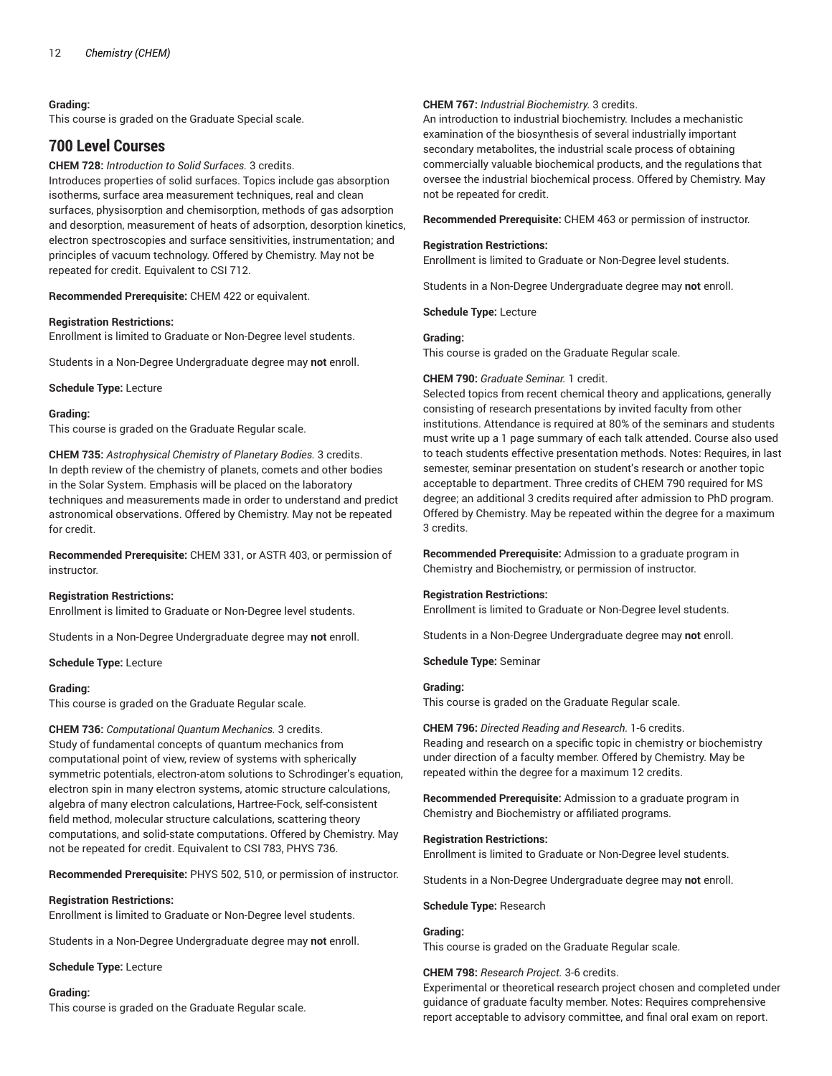#### **Grading:**

This course is graded on the Graduate Special scale.

# **700 Level Courses**

#### **CHEM 728:** *Introduction to Solid Surfaces.* 3 credits.

Introduces properties of solid surfaces. Topics include gas absorption isotherms, surface area measurement techniques, real and clean surfaces, physisorption and chemisorption, methods of gas adsorption and desorption, measurement of heats of adsorption, desorption kinetics, electron spectroscopies and surface sensitivities, instrumentation; and principles of vacuum technology. Offered by Chemistry. May not be repeated for credit. Equivalent to CSI 712.

**Recommended Prerequisite:** CHEM 422 or equivalent.

#### **Registration Restrictions:**

Enrollment is limited to Graduate or Non-Degree level students.

Students in a Non-Degree Undergraduate degree may **not** enroll.

**Schedule Type:** Lecture

#### **Grading:**

This course is graded on the Graduate Regular scale.

**CHEM 735:** *Astrophysical Chemistry of Planetary Bodies.* 3 credits. In depth review of the chemistry of planets, comets and other bodies in the Solar System. Emphasis will be placed on the laboratory techniques and measurements made in order to understand and predict astronomical observations. Offered by Chemistry. May not be repeated for credit.

**Recommended Prerequisite:** CHEM 331, or ASTR 403, or permission of instructor.

#### **Registration Restrictions:**

Enrollment is limited to Graduate or Non-Degree level students.

Students in a Non-Degree Undergraduate degree may **not** enroll.

**Schedule Type:** Lecture

#### **Grading:**

This course is graded on the Graduate Regular scale.

**CHEM 736:** *Computational Quantum Mechanics.* 3 credits. Study of fundamental concepts of quantum mechanics from computational point of view, review of systems with spherically symmetric potentials, electron-atom solutions to Schrodinger's equation, electron spin in many electron systems, atomic structure calculations, algebra of many electron calculations, Hartree-Fock, self-consistent field method, molecular structure calculations, scattering theory computations, and solid-state computations. Offered by Chemistry. May not be repeated for credit. Equivalent to CSI 783, PHYS 736.

**Recommended Prerequisite:** PHYS 502, 510, or permission of instructor.

#### **Registration Restrictions:**

Enrollment is limited to Graduate or Non-Degree level students.

Students in a Non-Degree Undergraduate degree may **not** enroll.

**Schedule Type:** Lecture

#### **Grading:**

This course is graded on the Graduate Regular scale.

#### **CHEM 767:** *Industrial Biochemistry.* 3 credits.

An introduction to industrial biochemistry. Includes a mechanistic examination of the biosynthesis of several industrially important secondary metabolites, the industrial scale process of obtaining commercially valuable biochemical products, and the regulations that oversee the industrial biochemical process. Offered by Chemistry. May not be repeated for credit.

**Recommended Prerequisite:** CHEM 463 or permission of instructor.

#### **Registration Restrictions:**

Enrollment is limited to Graduate or Non-Degree level students.

Students in a Non-Degree Undergraduate degree may **not** enroll.

**Schedule Type:** Lecture

#### **Grading:**

This course is graded on the Graduate Regular scale.

#### **CHEM 790:** *Graduate Seminar.* 1 credit.

Selected topics from recent chemical theory and applications, generally consisting of research presentations by invited faculty from other institutions. Attendance is required at 80% of the seminars and students must write up a 1 page summary of each talk attended. Course also used to teach students effective presentation methods. Notes: Requires, in last semester, seminar presentation on student's research or another topic acceptable to department. Three credits of CHEM 790 required for MS degree; an additional 3 credits required after admission to PhD program. Offered by Chemistry. May be repeated within the degree for a maximum 3 credits.

**Recommended Prerequisite:** Admission to a graduate program in Chemistry and Biochemistry, or permission of instructor.

#### **Registration Restrictions:**

Enrollment is limited to Graduate or Non-Degree level students.

Students in a Non-Degree Undergraduate degree may **not** enroll.

**Schedule Type:** Seminar

#### **Grading:**

This course is graded on the Graduate Regular scale.

**CHEM 796:** *Directed Reading and Research.* 1-6 credits. Reading and research on a specific topic in chemistry or biochemistry under direction of a faculty member. Offered by Chemistry. May be repeated within the degree for a maximum 12 credits.

**Recommended Prerequisite:** Admission to a graduate program in Chemistry and Biochemistry or affiliated programs.

#### **Registration Restrictions:**

Enrollment is limited to Graduate or Non-Degree level students.

Students in a Non-Degree Undergraduate degree may **not** enroll.

#### **Schedule Type:** Research

#### **Grading:**

This course is graded on the Graduate Regular scale.

#### **CHEM 798:** *Research Project.* 3-6 credits.

Experimental or theoretical research project chosen and completed under guidance of graduate faculty member. Notes: Requires comprehensive report acceptable to advisory committee, and final oral exam on report.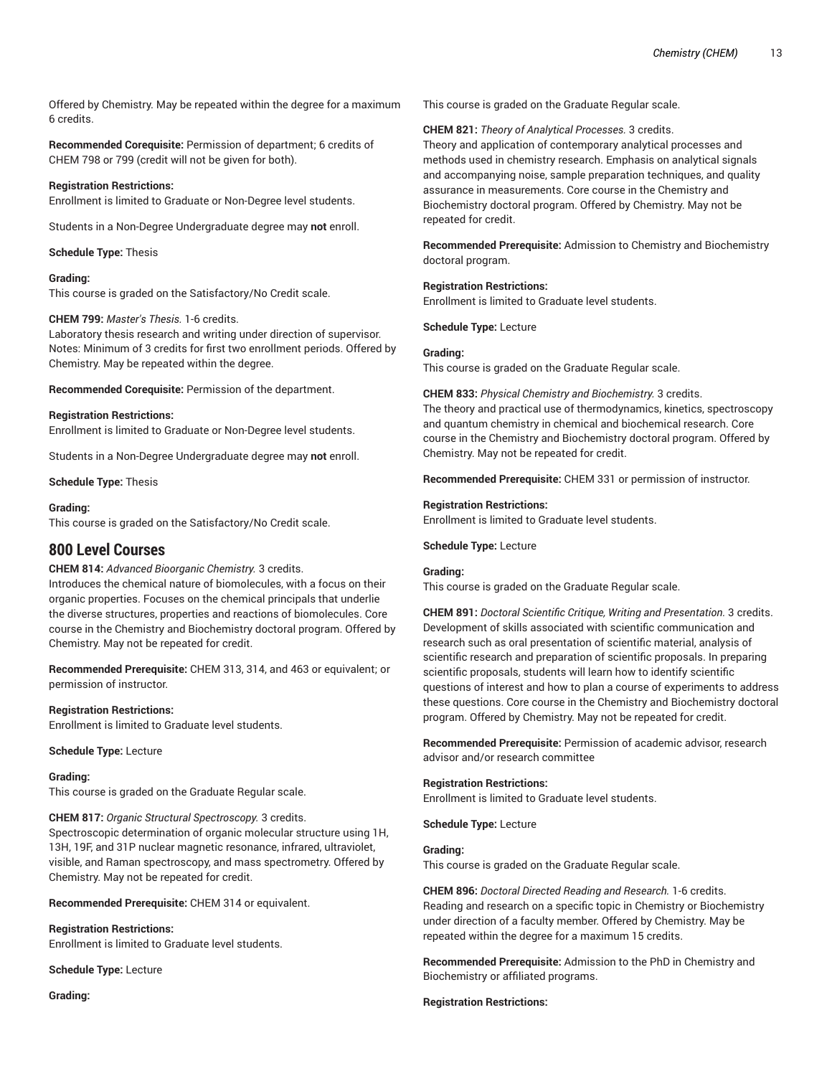Offered by Chemistry. May be repeated within the degree for a maximum 6 credits.

**Recommended Corequisite:** Permission of department; 6 credits of CHEM 798 or 799 (credit will not be given for both).

# **Registration Restrictions:**

Enrollment is limited to Graduate or Non-Degree level students.

Students in a Non-Degree Undergraduate degree may **not** enroll.

# **Schedule Type:** Thesis

# **Grading:**

This course is graded on the Satisfactory/No Credit scale.

# **CHEM 799:** *Master's Thesis.* 1-6 credits.

Laboratory thesis research and writing under direction of supervisor. Notes: Minimum of 3 credits for first two enrollment periods. Offered by Chemistry. May be repeated within the degree.

**Recommended Corequisite:** Permission of the department.

# **Registration Restrictions:**

Enrollment is limited to Graduate or Non-Degree level students.

Students in a Non-Degree Undergraduate degree may **not** enroll.

**Schedule Type:** Thesis

# **Grading:**

This course is graded on the Satisfactory/No Credit scale.

# **800 Level Courses**

# **CHEM 814:** *Advanced Bioorganic Chemistry.* 3 credits.

Introduces the chemical nature of biomolecules, with a focus on their organic properties. Focuses on the chemical principals that underlie the diverse structures, properties and reactions of biomolecules. Core course in the Chemistry and Biochemistry doctoral program. Offered by Chemistry. May not be repeated for credit.

**Recommended Prerequisite:** CHEM 313, 314, and 463 or equivalent; or permission of instructor.

# **Registration Restrictions:**

Enrollment is limited to Graduate level students.

**Schedule Type:** Lecture

#### **Grading:**

This course is graded on the Graduate Regular scale.

**CHEM 817:** *Organic Structural Spectroscopy.* 3 credits.

Spectroscopic determination of organic molecular structure using 1H, 13H, 19F, and 31P nuclear magnetic resonance, infrared, ultraviolet, visible, and Raman spectroscopy, and mass spectrometry. Offered by Chemistry. May not be repeated for credit.

**Recommended Prerequisite:** CHEM 314 or equivalent.

# **Registration Restrictions:**

Enrollment is limited to Graduate level students.

**Schedule Type:** Lecture

**Grading:**

This course is graded on the Graduate Regular scale.

# **CHEM 821:** *Theory of Analytical Processes.* 3 credits.

Theory and application of contemporary analytical processes and methods used in chemistry research. Emphasis on analytical signals and accompanying noise, sample preparation techniques, and quality assurance in measurements. Core course in the Chemistry and Biochemistry doctoral program. Offered by Chemistry. May not be repeated for credit.

**Recommended Prerequisite:** Admission to Chemistry and Biochemistry doctoral program.

#### **Registration Restrictions:**

Enrollment is limited to Graduate level students.

**Schedule Type:** Lecture

#### **Grading:**

This course is graded on the Graduate Regular scale.

**CHEM 833:** *Physical Chemistry and Biochemistry.* 3 credits.

The theory and practical use of thermodynamics, kinetics, spectroscopy and quantum chemistry in chemical and biochemical research. Core course in the Chemistry and Biochemistry doctoral program. Offered by Chemistry. May not be repeated for credit.

**Recommended Prerequisite:** CHEM 331 or permission of instructor.

#### **Registration Restrictions:**

Enrollment is limited to Graduate level students.

#### **Schedule Type:** Lecture

#### **Grading:**

This course is graded on the Graduate Regular scale.

**CHEM 891:** *Doctoral Scientific Critique, Writing and Presentation.* 3 credits. Development of skills associated with scientific communication and research such as oral presentation of scientific material, analysis of scientific research and preparation of scientific proposals. In preparing scientific proposals, students will learn how to identify scientific questions of interest and how to plan a course of experiments to address these questions. Core course in the Chemistry and Biochemistry doctoral program. Offered by Chemistry. May not be repeated for credit.

**Recommended Prerequisite:** Permission of academic advisor, research advisor and/or research committee

# **Registration Restrictions:**

Enrollment is limited to Graduate level students.

**Schedule Type:** Lecture

# **Grading:**

This course is graded on the Graduate Regular scale.

**CHEM 896:** *Doctoral Directed Reading and Research.* 1-6 credits. Reading and research on a specific topic in Chemistry or Biochemistry under direction of a faculty member. Offered by Chemistry. May be repeated within the degree for a maximum 15 credits.

**Recommended Prerequisite:** Admission to the PhD in Chemistry and Biochemistry or affiliated programs.

#### **Registration Restrictions:**